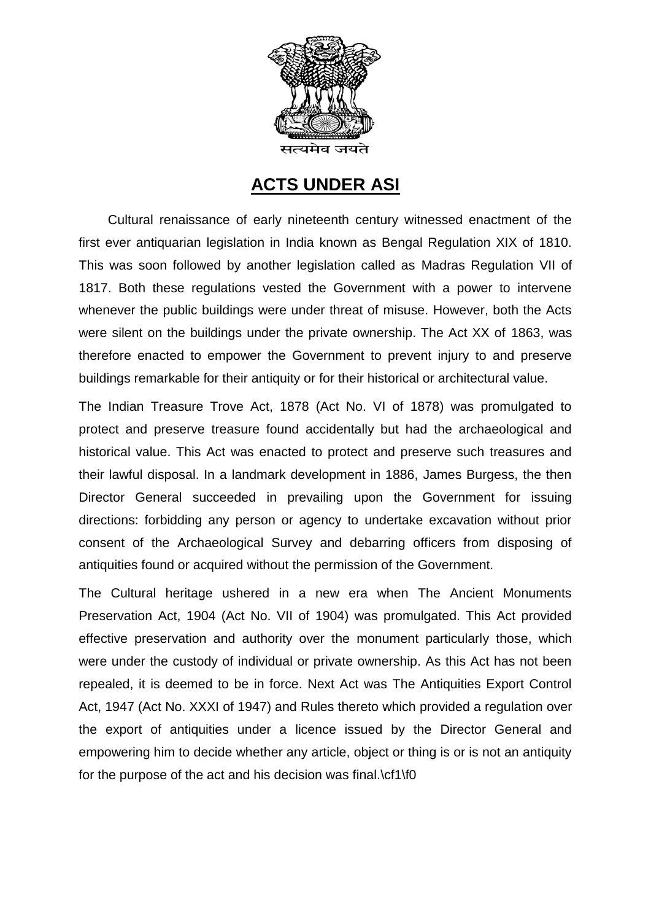

## **ACTS UNDER ASI**

 Cultural renaissance of early nineteenth century witnessed enactment of the first ever antiquarian legislation in India known as Bengal Regulation XIX of 1810. This was soon followed by another legislation called as Madras Regulation VII of 1817. Both these regulations vested the Government with a power to intervene whenever the public buildings were under threat of misuse. However, both the Acts were silent on the buildings under the private ownership. The Act XX of 1863, was therefore enacted to empower the Government to prevent injury to and preserve buildings remarkable for their antiquity or for their historical or architectural value.

The Indian Treasure Trove Act, 1878 (Act No. VI of 1878) was promulgated to protect and preserve treasure found accidentally but had the archaeological and historical value. This Act was enacted to protect and preserve such treasures and their lawful disposal. In a landmark development in 1886, James Burgess, the then Director General succeeded in prevailing upon the Government for issuing directions: forbidding any person or agency to undertake excavation without prior consent of the Archaeological Survey and debarring officers from disposing of antiquities found or acquired without the permission of the Government.

The Cultural heritage ushered in a new era when The Ancient Monuments Preservation Act, 1904 (Act No. VII of 1904) was promulgated. This Act provided effective preservation and authority over the monument particularly those, which were under the custody of individual or private ownership. As this Act has not been repealed, it is deemed to be in force. Next Act was The Antiquities Export Control Act, 1947 (Act No. XXXI of 1947) and Rules thereto which provided a regulation over the export of antiquities under a licence issued by the Director General and empowering him to decide whether any article, object or thing is or is not an antiquity for the purpose of the act and his decision was final.\cf1\f0